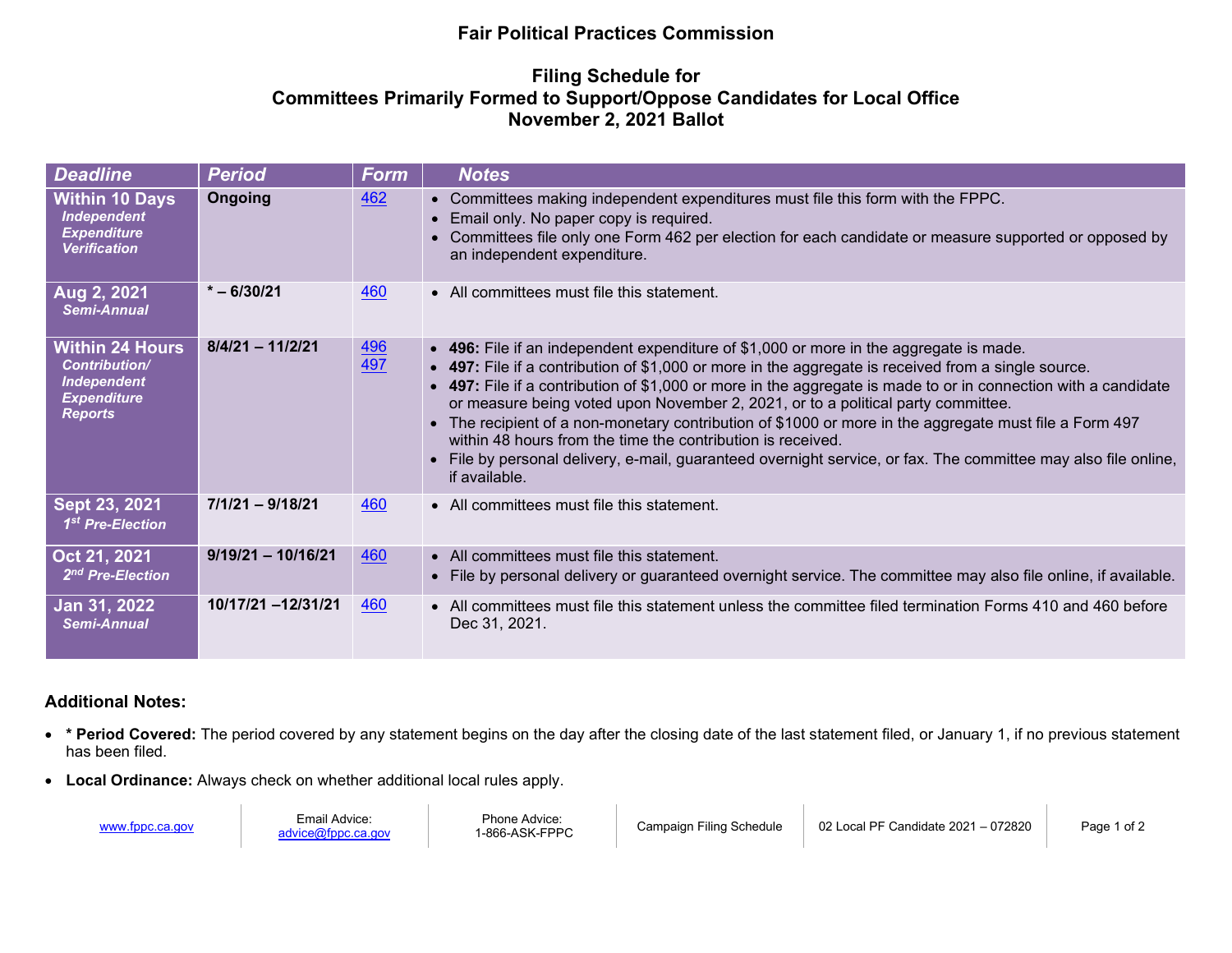## **Fair Political Practices Commission**

## **Filing Schedule for Committees Primarily Formed to Support/Oppose Candidates for Local Office November 2, 2021 Ballot**

| <b>Deadline</b>                                                                                              | <b>Period</b>        | Form              | <b>Notes</b>                                                                                                                                                                                                                                                                                                                                                                                                                                                                                                                                                                                                                                                                                                    |
|--------------------------------------------------------------------------------------------------------------|----------------------|-------------------|-----------------------------------------------------------------------------------------------------------------------------------------------------------------------------------------------------------------------------------------------------------------------------------------------------------------------------------------------------------------------------------------------------------------------------------------------------------------------------------------------------------------------------------------------------------------------------------------------------------------------------------------------------------------------------------------------------------------|
| <b>Within 10 Days</b><br><b>Independent</b><br><b>Expenditure</b><br><b>Verification</b>                     | Ongoing              | 462               | • Committees making independent expenditures must file this form with the FPPC.<br>Email only. No paper copy is required.<br>$\bullet$<br>Committees file only one Form 462 per election for each candidate or measure supported or opposed by<br>$\bullet$<br>an independent expenditure.                                                                                                                                                                                                                                                                                                                                                                                                                      |
| Aug 2, 2021<br><b>Semi-Annual</b>                                                                            | $* - 6/30/21$        | 460               | • All committees must file this statement.                                                                                                                                                                                                                                                                                                                                                                                                                                                                                                                                                                                                                                                                      |
| <b>Within 24 Hours</b><br><b>Contribution/</b><br><b>Independent</b><br><b>Expenditure</b><br><b>Reports</b> | $8/4/21 - 11/2/21$   | <u>496</u><br>497 | • 496: File if an independent expenditure of \$1,000 or more in the aggregate is made.<br>• 497: File if a contribution of \$1,000 or more in the aggregate is received from a single source.<br>• 497: File if a contribution of \$1,000 or more in the aggregate is made to or in connection with a candidate<br>or measure being voted upon November 2, 2021, or to a political party committee.<br>• The recipient of a non-monetary contribution of \$1000 or more in the aggregate must file a Form 497<br>within 48 hours from the time the contribution is received.<br>• File by personal delivery, e-mail, guaranteed overnight service, or fax. The committee may also file online,<br>if available. |
| Sept 23, 2021<br>1 <sup>st</sup> Pre-Election                                                                | $7/1/21 - 9/18/21$   | 460               | • All committees must file this statement.                                                                                                                                                                                                                                                                                                                                                                                                                                                                                                                                                                                                                                                                      |
| Oct 21, 2021<br>2 <sup>nd</sup> Pre-Election                                                                 | $9/19/21 - 10/16/21$ | 460               | • All committees must file this statement.<br>File by personal delivery or guaranteed overnight service. The committee may also file online, if available.                                                                                                                                                                                                                                                                                                                                                                                                                                                                                                                                                      |
| Jan 31, 2022<br>Semi-Annual                                                                                  | 10/17/21 -12/31/21   | 460               | • All committees must file this statement unless the committee filed termination Forms 410 and 460 before<br>Dec 31, 2021.                                                                                                                                                                                                                                                                                                                                                                                                                                                                                                                                                                                      |

## **Additional Notes:**

- **\* Period Covered:** The period covered by any statement begins on the day after the closing date of the last statement filed, or January 1, if no previous statement has been filed.
- **Local Ordinance:** Always check on whether additional local rules apply.

[www.fppc.ca.gov](http://www.fppc.ca.gov/) Email Advice: [advice@fppc.ca.gov](mailto:advice@fppc.ca.gov) Phone Advice:<br>1-866-ASK-FPPC